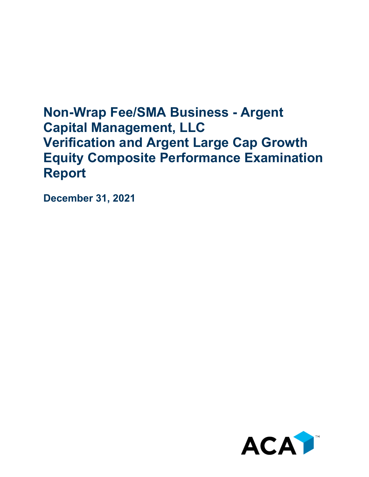## **Non-Wrap Fee/SMA Business - Argent Capital Management, LLC Verification and Argent Large Cap Growth Equity Composite Performance Examination Report**

**December 31, 2021**

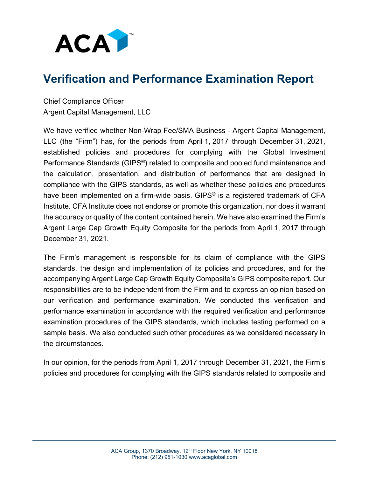

## **Verification and Performance Examination Report**

Chief Compliance Officer Argent Capital Management, LLC

We have verified whether Non-Wrap Fee/SMA Business - Argent Capital Management, LLC (the "Firm") has, for the periods from April 1, 2017 through December 31, 2021, established policies and procedures for complying with the Global Investment Performance Standards (GIPS®) related to composite and pooled fund maintenance and the calculation, presentation, and distribution of performance that are designed in compliance with the GIPS standards, as well as whether these policies and procedures have been implemented on a firm-wide basis. GIPS<sup>®</sup> is a registered trademark of CFA Institute. CFA Institute does not endorse or promote this organization, nor does it warrant the accuracy or quality of the content contained herein. We have also examined the Firm's Argent Large Cap Growth Equity Composite for the periods from April 1, 2017 through December 31, 2021.

The Firm's management is responsible for its claim of compliance with the GIPS standards, the design and implementation of its policies and procedures, and for the accompanying Argent Large Cap Growth Equity Composite's GIPS composite report. Our responsibilities are to be independent from the Firm and to express an opinion based on our verification and performance examination. We conducted this verification and performance examination in accordance with the required verification and performance examination procedures of the GIPS standards, which includes testing performed on a sample basis. We also conducted such other procedures as we considered necessary in the circumstances.

In our opinion, for the periods from April 1, 2017 through December 31, 2021, the Firm's policies and procedures for complying with the GIPS standards related to composite and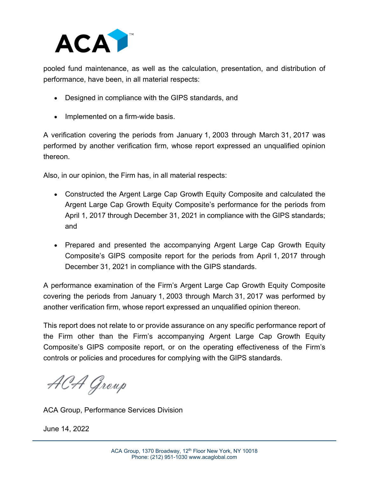

pooled fund maintenance, as well as the calculation, presentation, and distribution of performance, have been, in all material respects:

- Designed in compliance with the GIPS standards, and
- Implemented on a firm-wide basis.

A verification covering the periods from January 1, 2003 through March 31, 2017 was performed by another verification firm, whose report expressed an unqualified opinion thereon.

Also, in our opinion, the Firm has, in all material respects:

- Constructed the Argent Large Cap Growth Equity Composite and calculated the Argent Large Cap Growth Equity Composite's performance for the periods from April 1, 2017 through December 31, 2021 in compliance with the GIPS standards; and
- Prepared and presented the accompanying Argent Large Cap Growth Equity Composite's GIPS composite report for the periods from April 1, 2017 through December 31, 2021 in compliance with the GIPS standards.

A performance examination of the Firm's Argent Large Cap Growth Equity Composite covering the periods from January 1, 2003 through March 31, 2017 was performed by another verification firm, whose report expressed an unqualified opinion thereon.

This report does not relate to or provide assurance on any specific performance report of the Firm other than the Firm's accompanying Argent Large Cap Growth Equity Composite's GIPS composite report, or on the operating effectiveness of the Firm's controls or policies and procedures for complying with the GIPS standards.

ACA Group

ACA Group, Performance Services Division

June 14, 2022